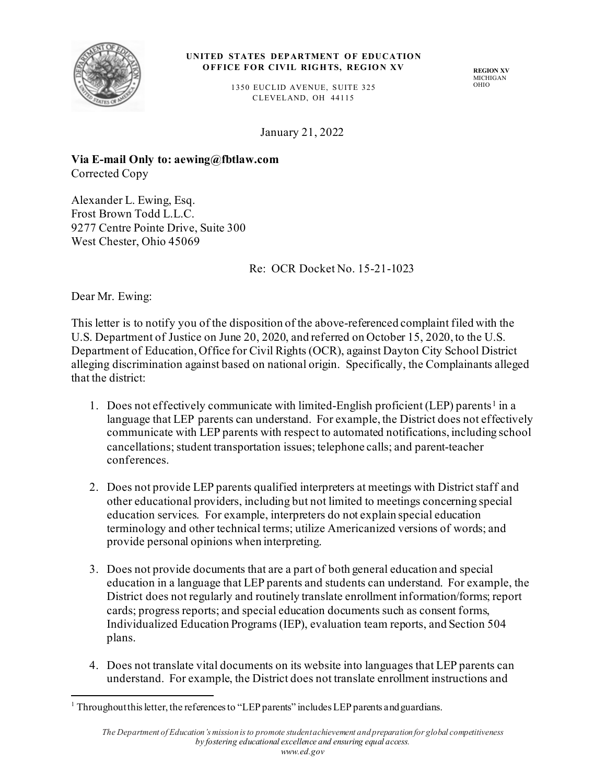

## **UNITED STATES DEPARTMENT OF EDUCATION OFFICE FOR CIVIL RIGHTS, REGION XV**

**REGION XV** MICHIGAN OHIO

1350 EUCLID AVENUE, SUITE 325 C LEVELAND, OH 44115

January 21, 2022

**Via E-mail Only to: aewing@fbtlaw.com** Corrected Copy

Alexander L. Ewing, Esq. Frost Brown Todd L.L.C. 9277 Centre Pointe Drive, Suite 300 West Chester, Ohio 45069

Re: OCR Docket No. 15-21-1023

Dear Mr. Ewing:

This letter is to notify you of the disposition of the above-referenced complaint filed with the U.S. Department of Justice on June 20, 2020, and referred on October 15, 2020, to the U.S. Department of Education, Office for Civil Rights (OCR), against Dayton City School District alleging discrimination against based on national origin. Specifically, the Complainants alleged that the district:

- 1. Does not effectively communicate with limited-English proficient (LEP) parents<sup>1</sup> in a language that LEP parents can understand. For example, the District does not effectively communicate with LEP parents with respect to automated notifications, including school cancellations; student transportation issues; telephone calls; and parent-teacher conferences.
- 2. Does not provide LEP parents qualified interpreters at meetings with District staff and other educational providers, including but not limited to meetings concerning special education services. For example, interpreters do not explain special education terminology and other technical terms; utilize Americanized versions of words; and provide personal opinions when interpreting.
- 3. Does not provide documents that are a part of both general education and special education in a language that LEP parents and students can understand. For example, the District does not regularly and routinely translate enrollment information/forms; report cards; progress reports; and special education documents such as consent forms, Individualized Education Programs (IEP), evaluation team reports, and Section 504 plans.
- 4. Does not translate vital documents on its website into languages that LEP parents can understand. For example, the District does not translate enrollment instructions and

 $1$  Throughout this letter, the references to "LEP parents" includes LEP parents and guardians.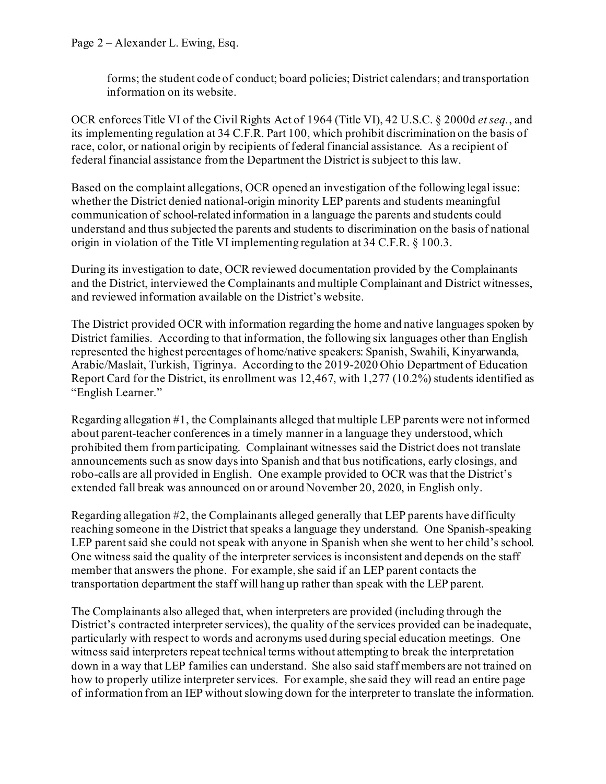forms; the student code of conduct; board policies; District calendars; and transportation information on its website.

OCR enforces Title VI of the Civil Rights Act of 1964 (Title VI), 42 U.S.C. § 2000d *et seq.*, and its implementing regulation at 34 C.F.R. Part 100, which prohibit discrimination on the basis of race, color, or national origin by recipients of federal financial assistance. As a recipient of federal financial assistance from the Department the District is subject to this law.

Based on the complaint allegations, OCR opened an investigation of the following legal issue: whether the District denied national-origin minority LEP parents and students meaningful communication of school-related information in a language the parents and students could understand and thus subjected the parents and students to discrimination on the basis of national origin in violation of the Title VI implementing regulation at 34 C.F.R. § 100.3.

During its investigation to date, OCR reviewed documentation provided by the Complainants and the District, interviewed the Complainants and multiple Complainant and District witnesses, and reviewed information available on the District's website.

The District provided OCR with information regarding the home and native languages spoken by District families. According to that information, the following six languages other than English represented the highest percentages of home/native speakers: Spanish, Swahili, Kinyarwanda, Arabic/Maslait, Turkish, Tigrinya. According to the 2019-2020 Ohio Department of Education Report Card for the District, its enrollment was 12,467, with 1,277 (10.2%) students identified as "English Learner."

Regarding allegation #1, the Complainants alleged that multiple LEP parents were not informed about parent-teacher conferences in a timely manner in a language they understood, which prohibited them from participating. Complainant witnesses said the District does not translate announcements such as snow days into Spanish and that bus notifications, early closings, and robo-calls are all provided in English. One example provided to OCR was that the District's extended fall break was announced on or around November 20, 2020, in English only.

Regarding allegation #2, the Complainants alleged generally that LEP parents have difficulty reaching someone in the District that speaks a language they understand. One Spanish-speaking LEP parent said she could not speak with anyone in Spanish when she went to her child's school. One witness said the quality of the interpreter services is inconsistent and depends on the staff member that answers the phone. For example, she said if an LEP parent contacts the transportation department the staff will hang up rather than speak with the LEP parent.

The Complainants also alleged that, when interpreters are provided (including through the District's contracted interpreter services), the quality of the services provided can be inadequate, particularly with respect to words and acronyms used during special education meetings. One witness said interpreters repeat technical terms without attempting to break the interpretation down in a way that LEP families can understand. She also said staff members are not trained on how to properly utilize interpreter services. For example, she said they will read an entire page of information from an IEP without slowing down for the interpreter to translate the information.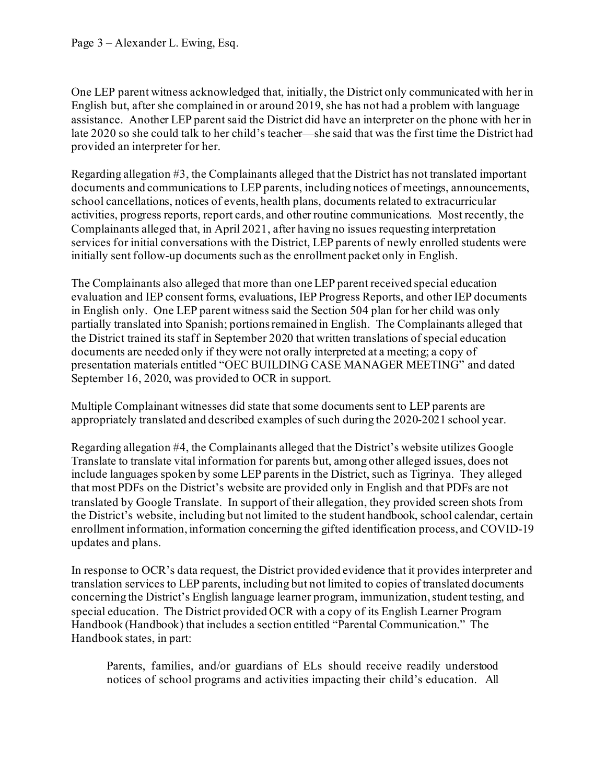One LEP parent witness acknowledged that, initially, the District only communicated with her in English but, after she complained in or around 2019, she has not had a problem with language assistance. Another LEP parent said the District did have an interpreter on the phone with her in late 2020 so she could talk to her child's teacher—she said that was the first time the District had provided an interpreter for her.

Regarding allegation #3, the Complainants alleged that the District has not translated important documents and communications to LEP parents, including notices of meetings, announcements, school cancellations, notices of events, health plans, documents related to extracurricular activities, progress reports, report cards, and other routine communications. Most recently, the Complainants alleged that, in April 2021, after having no issues requesting interpretation services for initial conversations with the District, LEP parents of newly enrolled students were initially sent follow-up documents such as the enrollment packet only in English.

The Complainants also alleged that more than one LEP parent received special education evaluation and IEP consent forms, evaluations, IEP Progress Reports, and other IEP documents in English only. One LEP parent witness said the Section 504 plan for her child was only partially translated into Spanish; portions remained in English. The Complainants alleged that the District trained its staff in September 2020 that written translations of special education documents are needed only if they were not orally interpreted at a meeting; a copy of presentation materials entitled "OEC BUILDING CASE MANAGER MEETING" and dated September 16, 2020, was provided to OCR in support.

Multiple Complainant witnesses did state that some documents sent to LEP parents are appropriately translated and described examples of such during the 2020-2021 school year.

Regarding allegation #4, the Complainants alleged that the District's website utilizes Google Translate to translate vital information for parents but, among other alleged issues, does not include languages spoken by some LEP parents in the District, such as Tigrinya. They alleged that most PDFs on the District's website are provided only in English and that PDFs are not translated by Google Translate. In support of their allegation, they provided screen shots from the District's website, including but not limited to the student handbook, school calendar, certain enrollment information, information concerning the gifted identification process, and COVID-19 updates and plans.

In response to OCR's data request, the District provided evidence that it provides interpreter and translation services to LEP parents, including but not limited to copies of translated documents concerning the District's English language learner program, immunization, student testing, and special education. The District provided OCR with a copy of its English Learner Program Handbook (Handbook) that includes a section entitled "Parental Communication." The Handbook states, in part:

Parents, families, and/or guardians of ELs should receive readily understood notices of school programs and activities impacting their child's education. All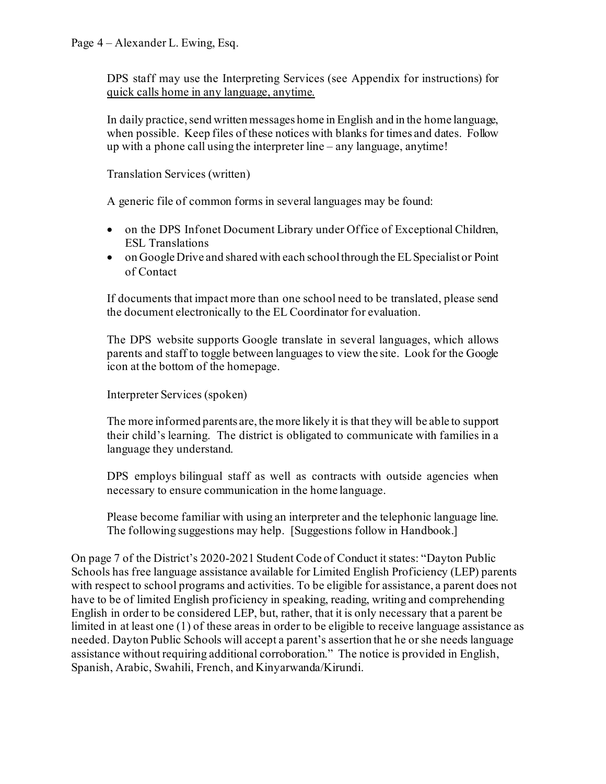DPS staff may use the Interpreting Services (see Appendix for instructions) for quick calls home in any language, anytime.

In daily practice, send written messages home in English and in the home language, when possible. Keep files of these notices with blanks for times and dates. Follow up with a phone call using the interpreter line – any language, anytime!

Translation Services (written)

A generic file of common forms in several languages may be found:

- on the DPS Infonet Document Library under Office of Exceptional Children, ESL Translations
- on Google Drive and shared with each school through the EL Specialist or Point of Contact

If documents that impact more than one school need to be translated, please send the document electronically to the EL Coordinator for evaluation.

The DPS website supports Google translate in several languages, which allows parents and staff to toggle between languages to view the site. Look for the Google icon at the bottom of the homepage.

Interpreter Services (spoken)

The more informed parents are, the more likely it is that they will be able to support their child's learning. The district is obligated to communicate with families in a language they understand.

DPS employs bilingual staff as well as contracts with outside agencies when necessary to ensure communication in the home language.

Please become familiar with using an interpreter and the telephonic language line. The following suggestions may help. [Suggestions follow in Handbook.]

On page 7 of the District's 2020-2021 Student Code of Conduct it states: "Dayton Public Schools has free language assistance available for Limited English Proficiency (LEP) parents with respect to school programs and activities. To be eligible for assistance, a parent does not have to be of limited English proficiency in speaking, reading, writing and comprehending English in order to be considered LEP, but, rather, that it is only necessary that a parent be limited in at least one (1) of these areas in order to be eligible to receive language assistance as needed. Dayton Public Schools will accept a parent's assertion that he or she needs language assistance without requiring additional corroboration." The notice is provided in English, Spanish, Arabic, Swahili, French, and Kinyarwanda/Kirundi.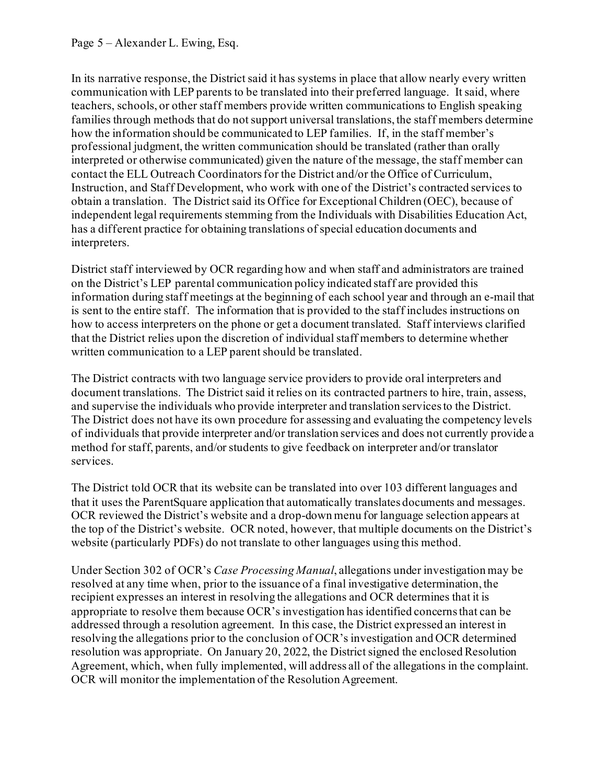In its narrative response, the District said it has systems in place that allow nearly every written communication with LEP parents to be translated into their preferred language. It said, where teachers, schools, or other staff members provide written communications to English speaking families through methods that do not support universal translations, the staff members determine how the information should be communicated to LEP families. If, in the staff member's professional judgment, the written communication should be translated (rather than orally interpreted or otherwise communicated) given the nature of the message, the staff member can contact the ELL Outreach Coordinators for the District and/or the Office of Curriculum, Instruction, and Staff Development, who work with one of the District's contracted services to obtain a translation. The District said its Office for Exceptional Children (OEC), because of independent legal requirements stemming from the Individuals with Disabilities Education Act, has a different practice for obtaining translations of special education documents and interpreters.

District staff interviewed by OCR regarding how and when staff and administrators are trained on the District's LEP parental communication policy indicated staff are provided this information during staff meetings at the beginning of each school year and through an e-mail that is sent to the entire staff. The information that is provided to the staff includes instructions on how to access interpreters on the phone or get a document translated. Staff interviews clarified that the District relies upon the discretion of individual staff members to determine whether written communication to a LEP parent should be translated.

The District contracts with two language service providers to provide oral interpreters and document translations. The District said it relies on its contracted partners to hire, train, assess, and supervise the individuals who provide interpreter and translation services to the District. The District does not have its own procedure for assessing and evaluating the competency levels of individuals that provide interpreter and/or translation services and does not currently provide a method for staff, parents, and/or students to give feedback on interpreter and/or translator services.

The District told OCR that its website can be translated into over 103 different languages and that it uses the ParentSquare application that automatically translates documents and messages. OCR reviewed the District's website and a drop-down menu for language selection appears at the top of the District's website. OCR noted, however, that multiple documents on the District's website (particularly PDFs) do not translate to other languages using this method.

Under Section 302 of OCR's *Case Processing Manual*, allegations under investigation may be resolved at any time when, prior to the issuance of a final investigative determination, the recipient expresses an interest in resolving the allegations and OCR determines that it is appropriate to resolve them because OCR's investigation has identified concerns that can be addressed through a resolution agreement. In this case, the District expressed an interest in resolving the allegations prior to the conclusion of OCR's investigation and OCR determined resolution was appropriate. On January 20, 2022, the District signed the enclosed Resolution Agreement, which, when fully implemented, will address all of the allegations in the complaint. OCR will monitor the implementation of the Resolution Agreement.